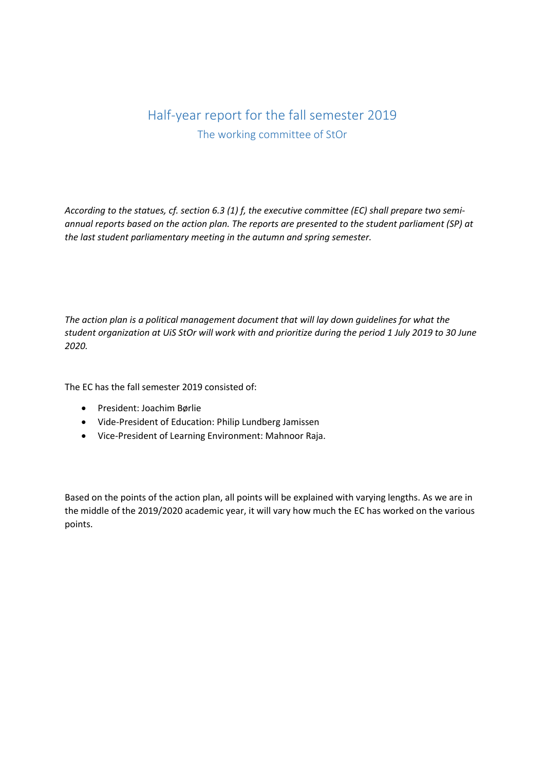# Half-year report for the fall semester 2019 The working committee of StOr

*According to the statues, cf. section 6.3 (1) f, the executive committee (EC) shall prepare two semiannual reports based on the action plan. The reports are presented to the student parliament (SP) at the last student parliamentary meeting in the autumn and spring semester.*

*The action plan is a political management document that will lay down guidelines for what the student organization at UiS StOr will work with and prioritize during the period 1 July 2019 to 30 June 2020.*

The EC has the fall semester 2019 consisted of:

- President: Joachim Børlie
- Vide-President of Education: Philip Lundberg Jamissen
- Vice-President of Learning Environment: Mahnoor Raja.

Based on the points of the action plan, all points will be explained with varying lengths. As we are in the middle of the 2019/2020 academic year, it will vary how much the EC has worked on the various points.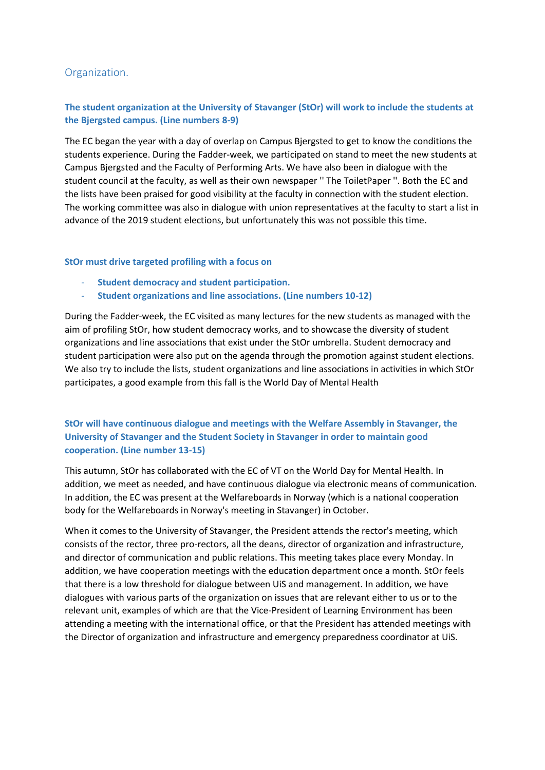# Organization.

# **The student organization at the University of Stavanger (StOr) will work to include the students at the Bjergsted campus. (Line numbers 8-9)**

The EC began the year with a day of overlap on Campus Bjergsted to get to know the conditions the students experience. During the Fadder-week, we participated on stand to meet the new students at Campus Bjergsted and the Faculty of Performing Arts. We have also been in dialogue with the student council at the faculty, as well as their own newspaper '' The ToiletPaper ''. Both the EC and the lists have been praised for good visibility at the faculty in connection with the student election. The working committee was also in dialogue with union representatives at the faculty to start a list in advance of the 2019 student elections, but unfortunately this was not possible this time.

### **StOr must drive targeted profiling with a focus on**

- **Student democracy and student participation.**
- **Student organizations and line associations. (Line numbers 10-12)**

During the Fadder-week, the EC visited as many lectures for the new students as managed with the aim of profiling StOr, how student democracy works, and to showcase the diversity of student organizations and line associations that exist under the StOr umbrella. Student democracy and student participation were also put on the agenda through the promotion against student elections. We also try to include the lists, student organizations and line associations in activities in which StOr participates, a good example from this fall is the World Day of Mental Health

# **StOr will have continuous dialogue and meetings with the Welfare Assembly in Stavanger, the University of Stavanger and the Student Society in Stavanger in order to maintain good cooperation. (Line number 13-15)**

This autumn, StOr has collaborated with the EC of VT on the World Day for Mental Health. In addition, we meet as needed, and have continuous dialogue via electronic means of communication. In addition, the EC was present at the Welfareboards in Norway (which is a national cooperation body for the Welfareboards in Norway's meeting in Stavanger) in October.

When it comes to the University of Stavanger, the President attends the rector's meeting, which consists of the rector, three pro-rectors, all the deans, director of organization and infrastructure, and director of communication and public relations. This meeting takes place every Monday. In addition, we have cooperation meetings with the education department once a month. StOr feels that there is a low threshold for dialogue between UiS and management. In addition, we have dialogues with various parts of the organization on issues that are relevant either to us or to the relevant unit, examples of which are that the Vice-President of Learning Environment has been attending a meeting with the international office, or that the President has attended meetings with the Director of organization and infrastructure and emergency preparedness coordinator at UiS.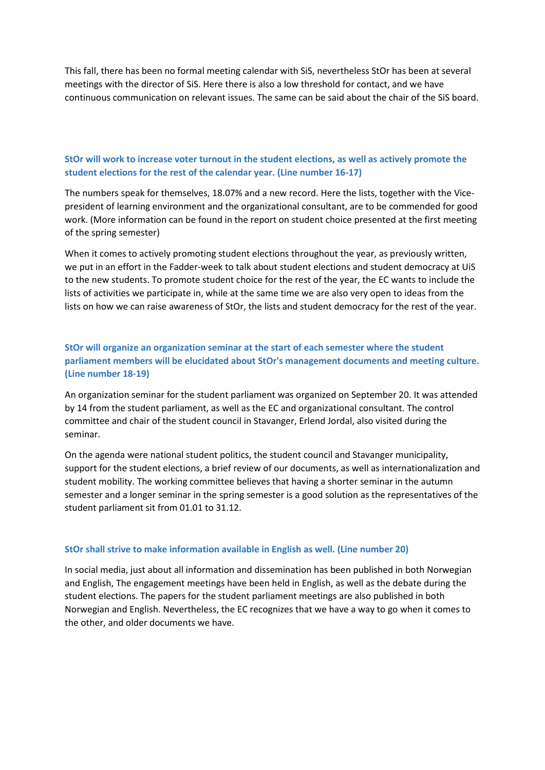This fall, there has been no formal meeting calendar with SiS, nevertheless StOr has been at several meetings with the director of SiS. Here there is also a low threshold for contact, and we have continuous communication on relevant issues. The same can be said about the chair of the SiS board.

### **StOr will work to increase voter turnout in the student elections, as well as actively promote the student elections for the rest of the calendar year. (Line number 16-17)**

The numbers speak for themselves, 18.07% and a new record. Here the lists, together with the Vicepresident of learning environment and the organizational consultant, are to be commended for good work. (More information can be found in the report on student choice presented at the first meeting of the spring semester)

When it comes to actively promoting student elections throughout the year, as previously written, we put in an effort in the Fadder-week to talk about student elections and student democracy at UiS to the new students. To promote student choice for the rest of the year, the EC wants to include the lists of activities we participate in, while at the same time we are also very open to ideas from the lists on how we can raise awareness of StOr, the lists and student democracy for the rest of the year.

# **StOr will organize an organization seminar at the start of each semester where the student parliament members will be elucidated about StOr's management documents and meeting culture. (Line number 18-19)**

An organization seminar for the student parliament was organized on September 20. It was attended by 14 from the student parliament, as well as the EC and organizational consultant. The control committee and chair of the student council in Stavanger, Erlend Jordal, also visited during the seminar.

On the agenda were national student politics, the student council and Stavanger municipality, support for the student elections, a brief review of our documents, as well as internationalization and student mobility. The working committee believes that having a shorter seminar in the autumn semester and a longer seminar in the spring semester is a good solution as the representatives of the student parliament sit from 01.01 to 31.12.

### **StOr shall strive to make information available in English as well. (Line number 20)**

In social media, just about all information and dissemination has been published in both Norwegian and English, The engagement meetings have been held in English, as well as the debate during the student elections. The papers for the student parliament meetings are also published in both Norwegian and English. Nevertheless, the EC recognizes that we have a way to go when it comes to the other, and older documents we have.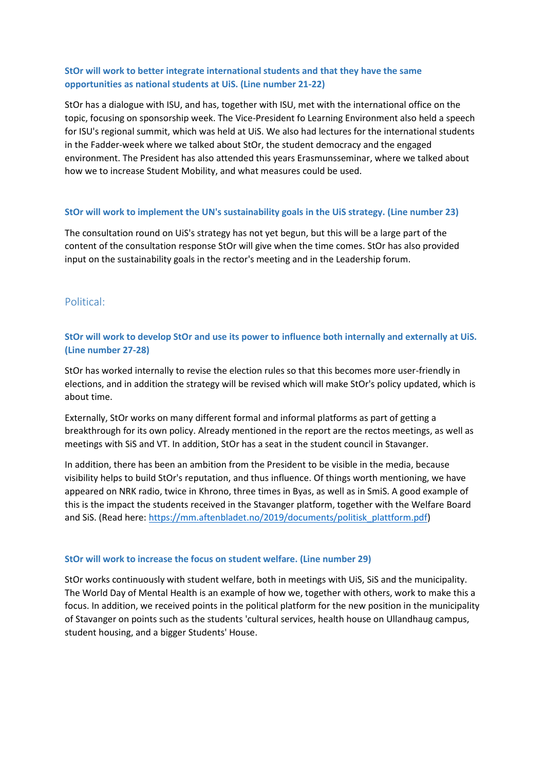# **StOr will work to better integrate international students and that they have the same opportunities as national students at UiS. (Line number 21-22)**

StOr has a dialogue with ISU, and has, together with ISU, met with the international office on the topic, focusing on sponsorship week. The Vice-President fo Learning Environment also held a speech for ISU's regional summit, which was held at UiS. We also had lectures for the international students in the Fadder-week where we talked about StOr, the student democracy and the engaged environment. The President has also attended this years Erasmunsseminar, where we talked about how we to increase Student Mobility, and what measures could be used.

### **StOr will work to implement the UN's sustainability goals in the UiS strategy. (Line number 23)**

The consultation round on UiS's strategy has not yet begun, but this will be a large part of the content of the consultation response StOr will give when the time comes. StOr has also provided input on the sustainability goals in the rector's meeting and in the Leadership forum.

### Political:

# **StOr will work to develop StOr and use its power to influence both internally and externally at UiS. (Line number 27-28)**

StOr has worked internally to revise the election rules so that this becomes more user-friendly in elections, and in addition the strategy will be revised which will make StOr's policy updated, which is about time.

Externally, StOr works on many different formal and informal platforms as part of getting a breakthrough for its own policy. Already mentioned in the report are the rectos meetings, as well as meetings with SiS and VT. In addition, StOr has a seat in the student council in Stavanger.

In addition, there has been an ambition from the President to be visible in the media, because visibility helps to build StOr's reputation, and thus influence. Of things worth mentioning, we have appeared on NRK radio, twice in Khrono, three times in Byas, as well as in SmiS. A good example of this is the impact the students received in the Stavanger platform, together with the Welfare Board and SiS. (Read here: [https://mm.aftenbladet.no/2019/documents/politisk\\_plattform.pdf\)](https://mm.aftenbladet.no/2019/documents/politisk_plattform.pdf)

### **StOr will work to increase the focus on student welfare. (Line number 29)**

StOr works continuously with student welfare, both in meetings with UiS, SiS and the municipality. The World Day of Mental Health is an example of how we, together with others, work to make this a focus. In addition, we received points in the political platform for the new position in the municipality of Stavanger on points such as the students 'cultural services, health house on Ullandhaug campus, student housing, and a bigger Students' House.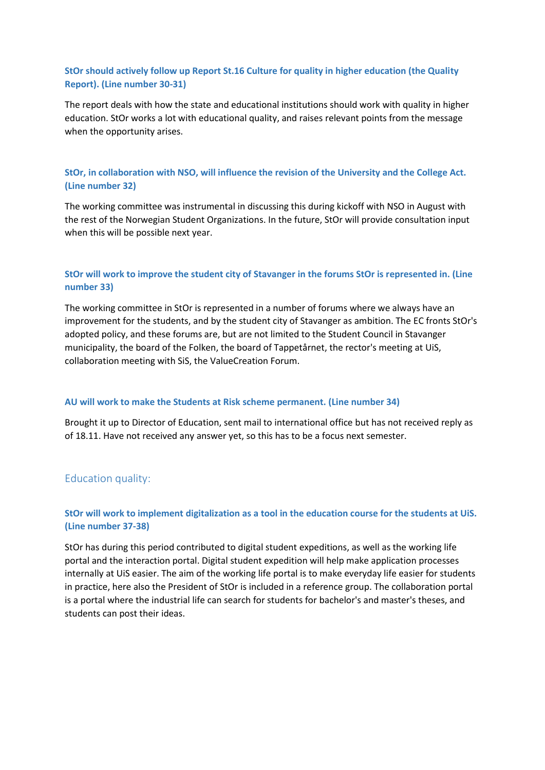# **StOr should actively follow up Report St.16 Culture for quality in higher education (the Quality Report). (Line number 30-31)**

The report deals with how the state and educational institutions should work with quality in higher education. StOr works a lot with educational quality, and raises relevant points from the message when the opportunity arises.

# **StOr, in collaboration with NSO, will influence the revision of the University and the College Act. (Line number 32)**

The working committee was instrumental in discussing this during kickoff with NSO in August with the rest of the Norwegian Student Organizations. In the future, StOr will provide consultation input when this will be possible next year.

# **StOr will work to improve the student city of Stavanger in the forums StOr is represented in. (Line number 33)**

The working committee in StOr is represented in a number of forums where we always have an improvement for the students, and by the student city of Stavanger as ambition. The EC fronts StOr's adopted policy, and these forums are, but are not limited to the Student Council in Stavanger municipality, the board of the Folken, the board of Tappetårnet, the rector's meeting at UiS, collaboration meeting with SiS, the ValueCreation Forum.

### **AU will work to make the Students at Risk scheme permanent. (Line number 34)**

Brought it up to Director of Education, sent mail to international office but has not received reply as of 18.11. Have not received any answer yet, so this has to be a focus next semester.

# Education quality:

### **StOr will work to implement digitalization as a tool in the education course for the students at UiS. (Line number 37-38)**

StOr has during this period contributed to digital student expeditions, as well as the working life portal and the interaction portal. Digital student expedition will help make application processes internally at UiS easier. The aim of the working life portal is to make everyday life easier for students in practice, here also the President of StOr is included in a reference group. The collaboration portal is a portal where the industrial life can search for students for bachelor's and master's theses, and students can post their ideas.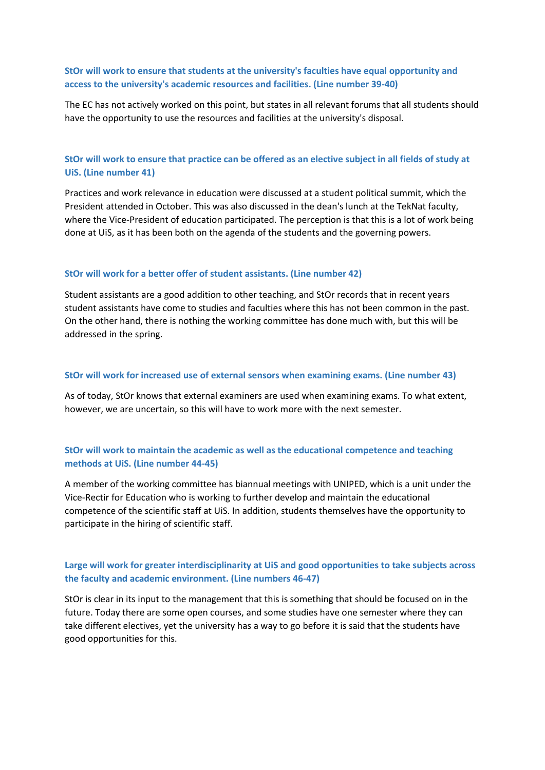### **StOr will work to ensure that students at the university's faculties have equal opportunity and access to the university's academic resources and facilities. (Line number 39-40)**

The EC has not actively worked on this point, but states in all relevant forums that all students should have the opportunity to use the resources and facilities at the university's disposal.

## **StOr will work to ensure that practice can be offered as an elective subject in all fields of study at UiS. (Line number 41)**

Practices and work relevance in education were discussed at a student political summit, which the President attended in October. This was also discussed in the dean's lunch at the TekNat faculty, where the Vice-President of education participated. The perception is that this is a lot of work being done at UiS, as it has been both on the agenda of the students and the governing powers.

#### **StOr will work for a better offer of student assistants. (Line number 42)**

Student assistants are a good addition to other teaching, and StOr records that in recent years student assistants have come to studies and faculties where this has not been common in the past. On the other hand, there is nothing the working committee has done much with, but this will be addressed in the spring.

#### **StOr will work for increased use of external sensors when examining exams. (Line number 43)**

As of today, StOr knows that external examiners are used when examining exams. To what extent, however, we are uncertain, so this will have to work more with the next semester.

### **StOr will work to maintain the academic as well as the educational competence and teaching methods at UiS. (Line number 44-45)**

A member of the working committee has biannual meetings with UNIPED, which is a unit under the Vice-Rectir for Education who is working to further develop and maintain the educational competence of the scientific staff at UiS. In addition, students themselves have the opportunity to participate in the hiring of scientific staff.

### **Large will work for greater interdisciplinarity at UiS and good opportunities to take subjects across the faculty and academic environment. (Line numbers 46-47)**

StOr is clear in its input to the management that this is something that should be focused on in the future. Today there are some open courses, and some studies have one semester where they can take different electives, yet the university has a way to go before it is said that the students have good opportunities for this.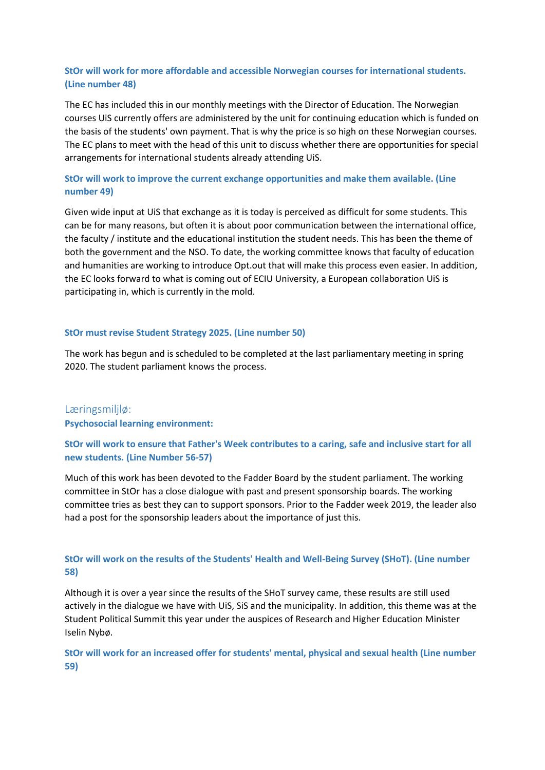# **StOr will work for more affordable and accessible Norwegian courses for international students. (Line number 48)**

The EC has included this in our monthly meetings with the Director of Education. The Norwegian courses UiS currently offers are administered by the unit for continuing education which is funded on the basis of the students' own payment. That is why the price is so high on these Norwegian courses. The EC plans to meet with the head of this unit to discuss whether there are opportunities for special arrangements for international students already attending UiS.

### **StOr will work to improve the current exchange opportunities and make them available. (Line number 49)**

Given wide input at UiS that exchange as it is today is perceived as difficult for some students. This can be for many reasons, but often it is about poor communication between the international office, the faculty / institute and the educational institution the student needs. This has been the theme of both the government and the NSO. To date, the working committee knows that faculty of education and humanities are working to introduce Opt.out that will make this process even easier. In addition, the EC looks forward to what is coming out of ECIU University, a European collaboration UiS is participating in, which is currently in the mold.

#### **StOr must revise Student Strategy 2025. (Line number 50)**

The work has begun and is scheduled to be completed at the last parliamentary meeting in spring 2020. The student parliament knows the process.

### Læringsmiljlø:

**Psychosocial learning environment:**

### **StOr will work to ensure that Father's Week contributes to a caring, safe and inclusive start for all new students. (Line Number 56-57)**

Much of this work has been devoted to the Fadder Board by the student parliament. The working committee in StOr has a close dialogue with past and present sponsorship boards. The working committee tries as best they can to support sponsors. Prior to the Fadder week 2019, the leader also had a post for the sponsorship leaders about the importance of just this.

### **StOr will work on the results of the Students' Health and Well-Being Survey (SHoT). (Line number 58)**

Although it is over a year since the results of the SHoT survey came, these results are still used actively in the dialogue we have with UiS, SiS and the municipality. In addition, this theme was at the Student Political Summit this year under the auspices of Research and Higher Education Minister Iselin Nybø.

**StOr will work for an increased offer for students' mental, physical and sexual health (Line number 59)**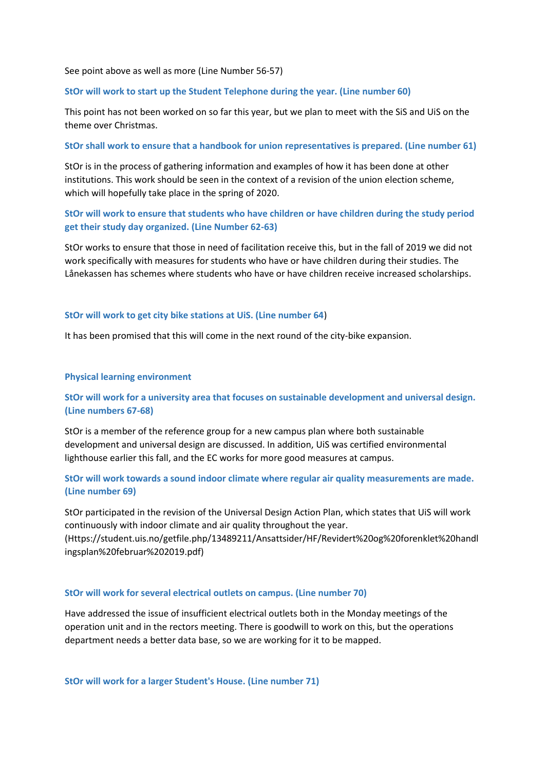See point above as well as more (Line Number 56-57)

#### **StOr will work to start up the Student Telephone during the year. (Line number 60)**

This point has not been worked on so far this year, but we plan to meet with the SiS and UiS on the theme over Christmas.

#### **StOr shall work to ensure that a handbook for union representatives is prepared. (Line number 61)**

StOr is in the process of gathering information and examples of how it has been done at other institutions. This work should be seen in the context of a revision of the union election scheme, which will hopefully take place in the spring of 2020.

# **StOr will work to ensure that students who have children or have children during the study period get their study day organized. (Line Number 62-63)**

StOr works to ensure that those in need of facilitation receive this, but in the fall of 2019 we did not work specifically with measures for students who have or have children during their studies. The Lånekassen has schemes where students who have or have children receive increased scholarships.

#### **StOr will work to get city bike stations at UiS. (Line number 64**)

It has been promised that this will come in the next round of the city-bike expansion.

#### **Physical learning environment**

# **StOr will work for a university area that focuses on sustainable development and universal design. (Line numbers 67-68)**

StOr is a member of the reference group for a new campus plan where both sustainable development and universal design are discussed. In addition, UiS was certified environmental lighthouse earlier this fall, and the EC works for more good measures at campus.

### **StOr will work towards a sound indoor climate where regular air quality measurements are made. (Line number 69)**

StOr participated in the revision of the Universal Design Action Plan, which states that UiS will work continuously with indoor climate and air quality throughout the year.

(Https://student.uis.no/getfile.php/13489211/Ansattsider/HF/Revidert%20og%20forenklet%20handl ingsplan%20februar%202019.pdf)

#### **StOr will work for several electrical outlets on campus. (Line number 70)**

Have addressed the issue of insufficient electrical outlets both in the Monday meetings of the operation unit and in the rectors meeting. There is goodwill to work on this, but the operations department needs a better data base, so we are working for it to be mapped.

**StOr will work for a larger Student's House. (Line number 71)**